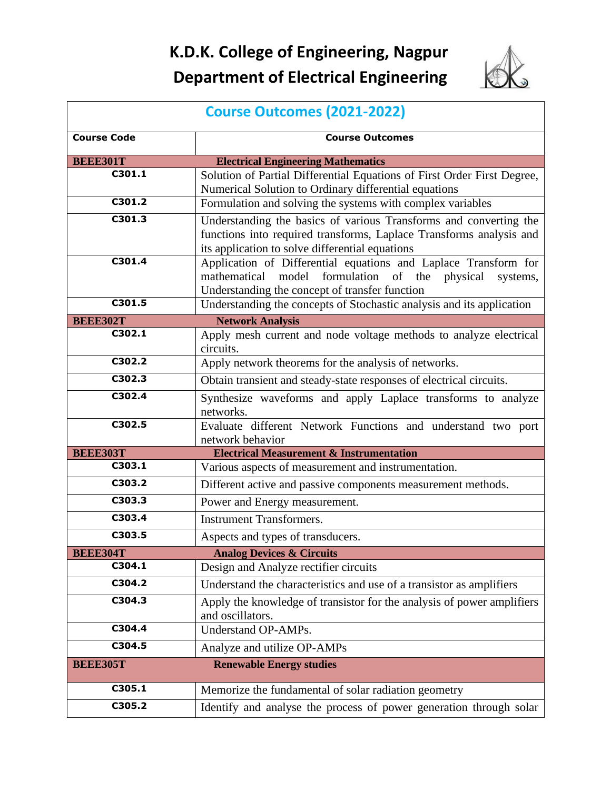## **K.D.K. College of Engineering, Nagpur Department of Electrical Engineering**



|                           | <b>Course Outcomes (2021-2022)</b>                                                           |
|---------------------------|----------------------------------------------------------------------------------------------|
| <b>Course Code</b>        | <b>Course Outcomes</b>                                                                       |
| <b>BEEE301T</b>           | <b>Electrical Engineering Mathematics</b>                                                    |
| C301.1                    | Solution of Partial Differential Equations of First Order First Degree,                      |
|                           | Numerical Solution to Ordinary differential equations                                        |
| C301.2                    | Formulation and solving the systems with complex variables                                   |
| C301.3                    | Understanding the basics of various Transforms and converting the                            |
|                           | functions into required transforms, Laplace Transforms analysis and                          |
|                           | its application to solve differential equations                                              |
| C301.4                    | Application of Differential equations and Laplace Transform for                              |
|                           | formulation of the physical<br>mathematical<br>model<br>systems,                             |
| C301.5                    | Understanding the concept of transfer function                                               |
|                           | Understanding the concepts of Stochastic analysis and its application                        |
| <b>BEEE302T</b><br>C302.1 | <b>Network Analysis</b><br>Apply mesh current and node voltage methods to analyze electrical |
|                           | circuits.                                                                                    |
| C302.2                    | Apply network theorems for the analysis of networks.                                         |
| C302.3                    |                                                                                              |
| C302.4                    | Obtain transient and steady-state responses of electrical circuits.                          |
|                           | Synthesize waveforms and apply Laplace transforms to analyze                                 |
| C302.5                    | networks.                                                                                    |
|                           | Evaluate different Network Functions and understand two port<br>network behavior             |
| <b>BEEE303T</b>           | <b>Electrical Measurement &amp; Instrumentation</b>                                          |
| C303.1                    | Various aspects of measurement and instrumentation.                                          |
| C303.2                    | Different active and passive components measurement methods.                                 |
| C303.3                    | Power and Energy measurement.                                                                |
| C303.4                    | <b>Instrument Transformers.</b>                                                              |
| C303.5                    | Aspects and types of transducers.                                                            |
| <b>BEEE304T</b>           | <b>Analog Devices &amp; Circuits</b>                                                         |
| C304.1                    | Design and Analyze rectifier circuits                                                        |
| C304.2                    | Understand the characteristics and use of a transistor as amplifiers                         |
| C304.3                    | Apply the knowledge of transistor for the analysis of power amplifiers                       |
|                           | and oscillators.                                                                             |
| C304.4                    | Understand OP-AMPs.                                                                          |
| C304.5                    | Analyze and utilize OP-AMPs                                                                  |
| <b>BEEE305T</b>           | <b>Renewable Energy studies</b>                                                              |
| C305.1                    | Memorize the fundamental of solar radiation geometry                                         |
| C305.2                    | Identify and analyse the process of power generation through solar                           |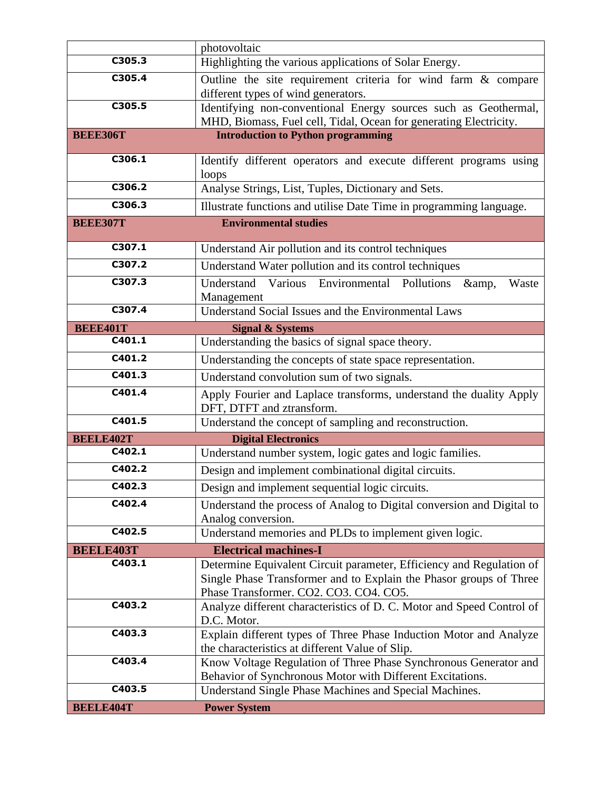|                            | photovoltaic                                                                                                                               |
|----------------------------|--------------------------------------------------------------------------------------------------------------------------------------------|
| C305.3                     | Highlighting the various applications of Solar Energy.                                                                                     |
| C305.4                     | Outline the site requirement criteria for wind farm & compare                                                                              |
|                            | different types of wind generators.                                                                                                        |
| C305.5                     | Identifying non-conventional Energy sources such as Geothermal,                                                                            |
| <b>BEEE306T</b>            | MHD, Biomass, Fuel cell, Tidal, Ocean for generating Electricity.                                                                          |
|                            | <b>Introduction to Python programming</b>                                                                                                  |
| C306.1                     | Identify different operators and execute different programs using                                                                          |
|                            | loops                                                                                                                                      |
| C306.2                     | Analyse Strings, List, Tuples, Dictionary and Sets.                                                                                        |
| C306.3                     | Illustrate functions and utilise Date Time in programming language.                                                                        |
| <b>BEEE307T</b>            | <b>Environmental studies</b>                                                                                                               |
| C307.1                     | Understand Air pollution and its control techniques                                                                                        |
| C307.2                     | Understand Water pollution and its control techniques                                                                                      |
| C307.3                     | Various Environmental Pollutions &,<br>Understand<br>Waste                                                                                 |
|                            | Management                                                                                                                                 |
| C307.4                     | Understand Social Issues and the Environmental Laws                                                                                        |
| <b>BEEE401T</b>            | <b>Signal &amp; Systems</b>                                                                                                                |
| C401.1                     | Understanding the basics of signal space theory.                                                                                           |
| C401.2                     | Understanding the concepts of state space representation.                                                                                  |
| C401.3                     | Understand convolution sum of two signals.                                                                                                 |
| C401.4                     | Apply Fourier and Laplace transforms, understand the duality Apply                                                                         |
| C401.5                     | DFT, DTFT and ztransform.                                                                                                                  |
|                            | Understand the concept of sampling and reconstruction.                                                                                     |
| <b>BEELE402T</b><br>C402.1 | <b>Digital Electronics</b>                                                                                                                 |
|                            | Understand number system, logic gates and logic families.                                                                                  |
| C402.2                     | Design and implement combinational digital circuits.                                                                                       |
| C402.3                     | Design and implement sequential logic circuits.                                                                                            |
| C402.4                     | Understand the process of Analog to Digital conversion and Digital to                                                                      |
| C402.5                     | Analog conversion.                                                                                                                         |
|                            | Understand memories and PLDs to implement given logic.                                                                                     |
| <b>BEELE403T</b><br>C403.1 | <b>Electrical machines-I</b>                                                                                                               |
|                            | Determine Equivalent Circuit parameter, Efficiency and Regulation of<br>Single Phase Transformer and to Explain the Phasor groups of Three |
|                            | Phase Transformer. CO2. CO3. CO4. CO5.                                                                                                     |
| $\overline{C403.2}$        | Analyze different characteristics of D. C. Motor and Speed Control of                                                                      |
|                            | D.C. Motor.                                                                                                                                |
| C403.3                     | Explain different types of Three Phase Induction Motor and Analyze                                                                         |
|                            | the characteristics at different Value of Slip.                                                                                            |
| C403.4                     | Know Voltage Regulation of Three Phase Synchronous Generator and                                                                           |
| C403.5                     | Behavior of Synchronous Motor with Different Excitations.<br>Understand Single Phase Machines and Special Machines.                        |
|                            |                                                                                                                                            |
| <b>BEELE404T</b>           | <b>Power System</b>                                                                                                                        |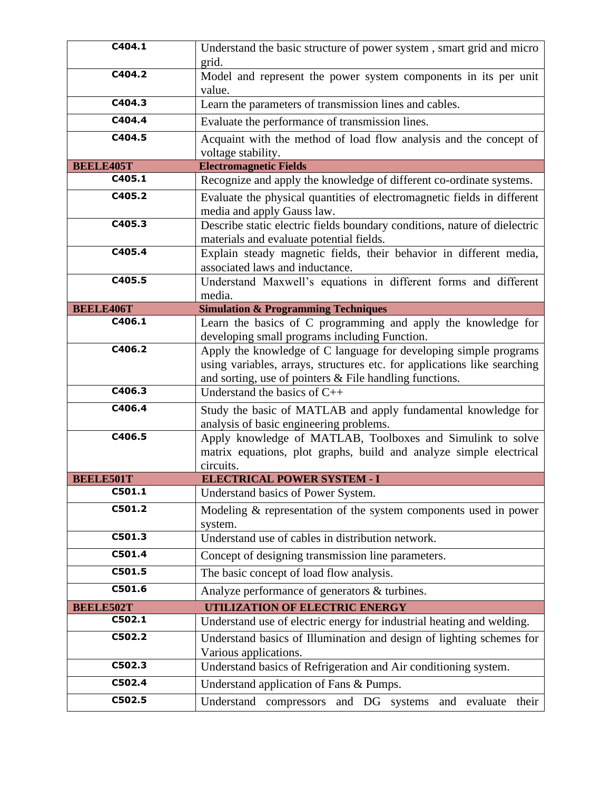| C404.1           | Understand the basic structure of power system, smart grid and micro                    |
|------------------|-----------------------------------------------------------------------------------------|
|                  | grid.                                                                                   |
| C404.2           | Model and represent the power system components in its per unit                         |
|                  | value.                                                                                  |
| C404.3           | Learn the parameters of transmission lines and cables.                                  |
| C404.4           | Evaluate the performance of transmission lines.                                         |
| C404.5           |                                                                                         |
|                  | Acquaint with the method of load flow analysis and the concept of<br>voltage stability. |
| <b>BEELE405T</b> | <b>Electromagnetic Fields</b>                                                           |
| C405.1           | Recognize and apply the knowledge of different co-ordinate systems.                     |
| C405.2           | Evaluate the physical quantities of electromagnetic fields in different                 |
|                  | media and apply Gauss law.                                                              |
| C405.3           | Describe static electric fields boundary conditions, nature of dielectric               |
|                  | materials and evaluate potential fields.                                                |
| C405.4           | Explain steady magnetic fields, their behavior in different media,                      |
|                  | associated laws and inductance.                                                         |
| C405.5           | Understand Maxwell's equations in different forms and different                         |
|                  | media.                                                                                  |
| <b>BEELE406T</b> | <b>Simulation &amp; Programming Techniques</b>                                          |
| C406.1           | Learn the basics of C programming and apply the knowledge for                           |
|                  | developing small programs including Function.                                           |
| C406.2           | Apply the knowledge of C language for developing simple programs                        |
|                  | using variables, arrays, structures etc. for applications like searching                |
|                  | and sorting, use of pointers & File handling functions.                                 |
| C406.3           | Understand the basics of $C++$                                                          |
| C406.4           | Study the basic of MATLAB and apply fundamental knowledge for                           |
|                  | analysis of basic engineering problems.                                                 |
| C406.5           | Apply knowledge of MATLAB, Toolboxes and Simulink to solve                              |
|                  | matrix equations, plot graphs, build and analyze simple electrical                      |
|                  | circuits.                                                                               |
| <b>BEELE501T</b> | <b>ELECTRICAL POWER SYSTEM - I</b>                                                      |
| C501.1           | Understand basics of Power System.                                                      |
| C501.2           | Modeling & representation of the system components used in power                        |
|                  | system.                                                                                 |
| C501.3           | Understand use of cables in distribution network.                                       |
| C501.4           | Concept of designing transmission line parameters.                                      |
| C501.5           | The basic concept of load flow analysis.                                                |
| C501.6           | Analyze performance of generators & turbines.                                           |
| <b>BEELE502T</b> | UTILIZATION OF ELECTRIC ENERGY                                                          |
| C502.1           | Understand use of electric energy for industrial heating and welding.                   |
| C502.2           | Understand basics of Illumination and design of lighting schemes for                    |
|                  | Various applications.                                                                   |
| C502.3           | Understand basics of Refrigeration and Air conditioning system.                         |
| C502.4           | Understand application of Fans & Pumps.                                                 |
| C502.5           | Understand<br>compressors<br>and DG systems<br>and<br>evaluate<br>their                 |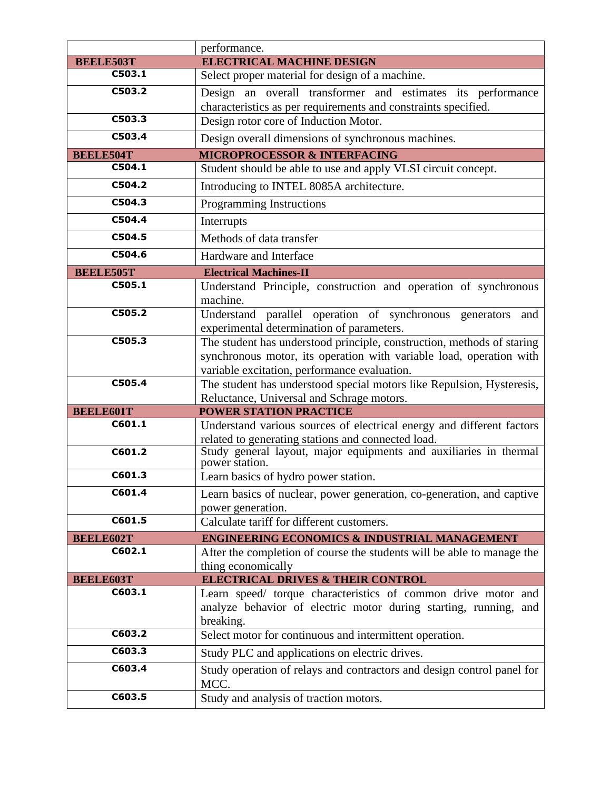|                            | performance.                                                                                                                                  |
|----------------------------|-----------------------------------------------------------------------------------------------------------------------------------------------|
| <b>BEELE503T</b>           | <b>ELECTRICAL MACHINE DESIGN</b>                                                                                                              |
| C503.1                     | Select proper material for design of a machine.                                                                                               |
| C503.2                     | Design an overall transformer and estimates its performance                                                                                   |
|                            | characteristics as per requirements and constraints specified.                                                                                |
| C503.3                     | Design rotor core of Induction Motor.                                                                                                         |
| C503.4                     | Design overall dimensions of synchronous machines.                                                                                            |
| <b>BEELE504T</b>           | <b>MICROPROCESSOR &amp; INTERFACING</b>                                                                                                       |
| C504.1                     | Student should be able to use and apply VLSI circuit concept.                                                                                 |
| C504.2                     | Introducing to INTEL 8085A architecture.                                                                                                      |
| C504.3                     | <b>Programming Instructions</b>                                                                                                               |
| C504.4                     | Interrupts                                                                                                                                    |
| C504.5                     | Methods of data transfer                                                                                                                      |
| C504.6                     | Hardware and Interface                                                                                                                        |
| <b>BEELE505T</b>           | <b>Electrical Machines-II</b>                                                                                                                 |
| C505.1                     | Understand Principle, construction and operation of synchronous                                                                               |
|                            | machine.                                                                                                                                      |
| C505.2                     | Understand parallel operation of synchronous generators<br>and                                                                                |
| C505.3                     | experimental determination of parameters.                                                                                                     |
|                            | The student has understood principle, construction, methods of staring<br>synchronous motor, its operation with variable load, operation with |
|                            | variable excitation, performance evaluation.                                                                                                  |
| C505.4                     | The student has understood special motors like Repulsion, Hysteresis,                                                                         |
|                            | Reluctance, Universal and Schrage motors.                                                                                                     |
| <b>BEELE601T</b>           | <b>POWER STATION PRACTICE</b>                                                                                                                 |
| C601.1                     | Understand various sources of electrical energy and different factors                                                                         |
|                            | related to generating stations and connected load.<br>Study general layout, major equipments and auxiliaries in thermal                       |
| C601.2                     | power station.                                                                                                                                |
| C601.3                     | Learn basics of hydro power station.                                                                                                          |
| C601.4                     | Learn basics of nuclear, power generation, co-generation, and captive                                                                         |
|                            | power generation.                                                                                                                             |
| C601.5                     | Calculate tariff for different customers.                                                                                                     |
| <b>BEELE602T</b>           | <b>ENGINEERING ECONOMICS &amp; INDUSTRIAL MANAGEMENT</b>                                                                                      |
| C602.1                     | After the completion of course the students will be able to manage the                                                                        |
|                            | thing economically<br><b>ELECTRICAL DRIVES &amp; THEIR CONTROL</b>                                                                            |
| <b>BEELE603T</b><br>C603.1 | Learn speed/ torque characteristics of common drive motor and                                                                                 |
|                            | analyze behavior of electric motor during starting, running, and                                                                              |
|                            | breaking.                                                                                                                                     |
| C603.2                     | Select motor for continuous and intermittent operation.                                                                                       |
| C603.3                     | Study PLC and applications on electric drives.                                                                                                |
| C603.4                     | Study operation of relays and contractors and design control panel for                                                                        |
|                            | MCC.                                                                                                                                          |
| C603.5                     | Study and analysis of traction motors.                                                                                                        |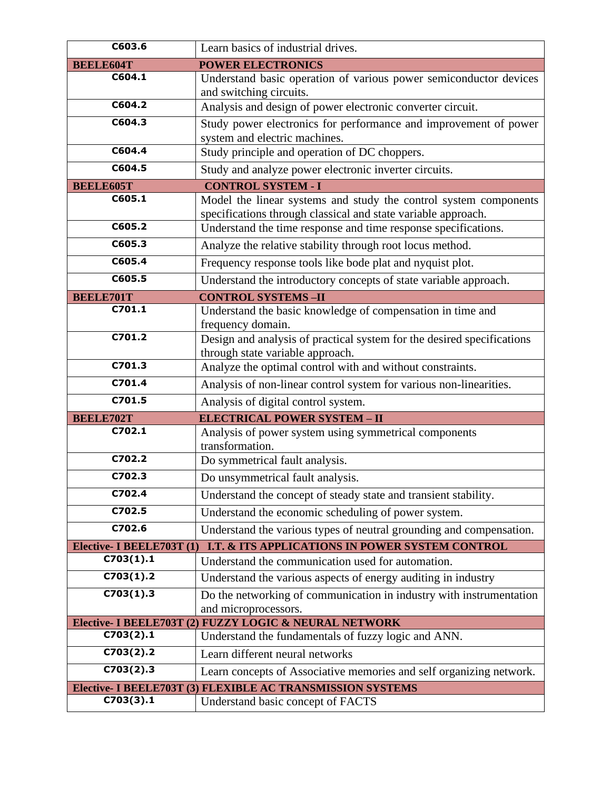| C603.6                    | Learn basics of industrial drives.                                                                                                |
|---------------------------|-----------------------------------------------------------------------------------------------------------------------------------|
| <b>BEELE604T</b>          | <b>POWER ELECTRONICS</b>                                                                                                          |
| C604.1                    | Understand basic operation of various power semiconductor devices<br>and switching circuits.                                      |
| C604.2                    | Analysis and design of power electronic converter circuit.                                                                        |
| C604.3                    | Study power electronics for performance and improvement of power<br>system and electric machines.                                 |
| C604.4                    | Study principle and operation of DC choppers.                                                                                     |
| C604.5                    | Study and analyze power electronic inverter circuits.                                                                             |
| <b>BEELE605T</b>          | <b>CONTROL SYSTEM - I</b>                                                                                                         |
| C605.1                    | Model the linear systems and study the control system components<br>specifications through classical and state variable approach. |
| C605.2                    | Understand the time response and time response specifications.                                                                    |
| C605.3                    | Analyze the relative stability through root locus method.                                                                         |
| C605.4                    | Frequency response tools like bode plat and nyquist plot.                                                                         |
| C605.5                    | Understand the introductory concepts of state variable approach.                                                                  |
| <b>BEELE701T</b>          | <b>CONTROL SYSTEMS-II</b>                                                                                                         |
| C701.1                    | Understand the basic knowledge of compensation in time and<br>frequency domain.                                                   |
| C701.2                    | Design and analysis of practical system for the desired specifications<br>through state variable approach.                        |
| C701.3                    | Analyze the optimal control with and without constraints.                                                                         |
| C701.4                    | Analysis of non-linear control system for various non-linearities.                                                                |
| C701.5                    | Analysis of digital control system.                                                                                               |
| <b>BEELE702T</b>          | <b>ELECTRICAL POWER SYSTEM - II</b>                                                                                               |
| C702.1                    | Analysis of power system using symmetrical components<br>transformation.                                                          |
| C702.2                    | Do symmetrical fault analysis.                                                                                                    |
| C702.3                    | Do unsymmetrical fault analysis.                                                                                                  |
| C702.4                    | Understand the concept of steady state and transient stability.                                                                   |
| C702.5                    | Understand the economic scheduling of power system.                                                                               |
| C702.6                    | Understand the various types of neutral grounding and compensation.                                                               |
| Elective- I BEELE703T (1) | I.T. & ITS APPLICATIONS IN POWER SYSTEM CONTROL                                                                                   |
| C703(1).1                 | Understand the communication used for automation.                                                                                 |
| C703(1).2                 | Understand the various aspects of energy auditing in industry                                                                     |
| C703(1).3                 | Do the networking of communication in industry with instrumentation                                                               |
|                           | and microprocessors.<br>Elective- I BEELE703T (2) FUZZY LOGIC & NEURAL NETWORK                                                    |
| C703(2).1                 | Understand the fundamentals of fuzzy logic and ANN.                                                                               |
| C703(2).2                 | Learn different neural networks                                                                                                   |
| C703(2).3                 | Learn concepts of Associative memories and self organizing network.                                                               |
|                           | Elective- I BEELE703T (3) FLEXIBLE AC TRANSMISSION SYSTEMS                                                                        |
| C703(3).1                 | Understand basic concept of FACTS                                                                                                 |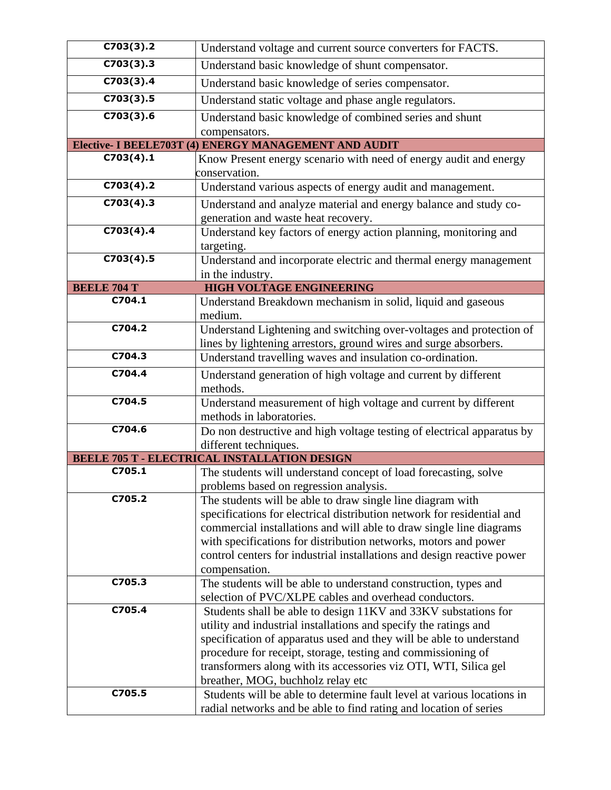| C703(3).2          | Understand voltage and current source converters for FACTS.                                                                         |
|--------------------|-------------------------------------------------------------------------------------------------------------------------------------|
| C703(3).3          | Understand basic knowledge of shunt compensator.                                                                                    |
| C703(3).4          | Understand basic knowledge of series compensator.                                                                                   |
| C703(3).5          | Understand static voltage and phase angle regulators.                                                                               |
| C703(3).6          | Understand basic knowledge of combined series and shunt                                                                             |
|                    | compensators.                                                                                                                       |
|                    | <b>Elective- I BEELE703T (4) ENERGY MANAGEMENT AND AUDIT</b>                                                                        |
| C703(4).1          | Know Present energy scenario with need of energy audit and energy<br>conservation.                                                  |
| C703(4).2          | Understand various aspects of energy audit and management.                                                                          |
| C703(4).3          | Understand and analyze material and energy balance and study co-                                                                    |
|                    | generation and waste heat recovery.                                                                                                 |
| C703(4).4          | Understand key factors of energy action planning, monitoring and                                                                    |
|                    | targeting.                                                                                                                          |
| C703(4).5          | Understand and incorporate electric and thermal energy management                                                                   |
| <b>BEELE 704 T</b> | in the industry.<br><b>HIGH VOLTAGE ENGINEERING</b>                                                                                 |
| C704.1             | Understand Breakdown mechanism in solid, liquid and gaseous                                                                         |
|                    | medium.                                                                                                                             |
| C704.2             | Understand Lightening and switching over-voltages and protection of                                                                 |
|                    | lines by lightening arrestors, ground wires and surge absorbers.                                                                    |
| C704.3             | Understand travelling waves and insulation co-ordination.                                                                           |
| C704.4             | Understand generation of high voltage and current by different                                                                      |
|                    | methods.                                                                                                                            |
| C704.5             | Understand measurement of high voltage and current by different                                                                     |
|                    | methods in laboratories.                                                                                                            |
| C704.6             | Do non destructive and high voltage testing of electrical apparatus by                                                              |
|                    | different techniques.                                                                                                               |
| C705.1             | <b>BEELE 705 T - ELECTRICAL INSTALLATION DESIGN</b>                                                                                 |
|                    | The students will understand concept of load forecasting, solve                                                                     |
| C705.2             | problems based on regression analysis.<br>The students will be able to draw single line diagram with                                |
|                    | specifications for electrical distribution network for residential and                                                              |
|                    | commercial installations and will able to draw single line diagrams                                                                 |
|                    | with specifications for distribution networks, motors and power                                                                     |
|                    | control centers for industrial installations and design reactive power                                                              |
|                    | compensation.                                                                                                                       |
| C705.3             | The students will be able to understand construction, types and                                                                     |
|                    | selection of PVC/XLPE cables and overhead conductors.                                                                               |
| C705.4             | Students shall be able to design 11KV and 33KV substations for                                                                      |
|                    | utility and industrial installations and specify the ratings and                                                                    |
|                    | specification of apparatus used and they will be able to understand<br>procedure for receipt, storage, testing and commissioning of |
|                    | transformers along with its accessories viz OTI, WTI, Silica gel                                                                    |
|                    | breather, MOG, buchholz relay etc                                                                                                   |
| C705.5             | Students will be able to determine fault level at various locations in                                                              |
|                    | radial networks and be able to find rating and location of series                                                                   |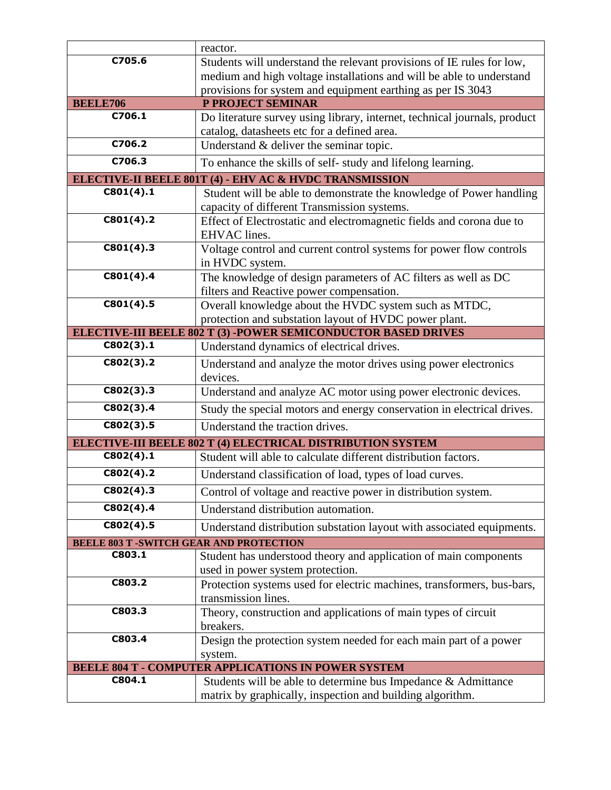|                                                            | reactor.                                                                                                           |
|------------------------------------------------------------|--------------------------------------------------------------------------------------------------------------------|
| C705.6                                                     | Students will understand the relevant provisions of IE rules for low,                                              |
|                                                            | medium and high voltage installations and will be able to understand                                               |
|                                                            | provisions for system and equipment earthing as per IS 3043                                                        |
| <b>BEELE706</b>                                            | P PROJECT SEMINAR                                                                                                  |
| C706.1                                                     | Do literature survey using library, internet, technical journals, product                                          |
| C706.2                                                     | catalog, datasheets etc for a defined area.                                                                        |
|                                                            | Understand & deliver the seminar topic.                                                                            |
| C706.3                                                     | To enhance the skills of self-study and lifelong learning.                                                         |
|                                                            | <b>ELECTIVE-II BEELE 801T (4) - EHV AC &amp; HVDC TRANSMISSION</b>                                                 |
| C801(4).1                                                  | Student will be able to demonstrate the knowledge of Power handling<br>capacity of different Transmission systems. |
| C801(4).2                                                  | Effect of Electrostatic and electromagnetic fields and corona due to<br>EHVAC lines.                               |
| C801(4).3                                                  | Voltage control and current control systems for power flow controls<br>in HVDC system.                             |
| C801(4).4                                                  | The knowledge of design parameters of AC filters as well as DC<br>filters and Reactive power compensation.         |
| C801(4).5                                                  | Overall knowledge about the HVDC system such as MTDC,                                                              |
|                                                            | protection and substation layout of HVDC power plant.                                                              |
|                                                            | ELECTIVE-III BEELE 802 T (3) -POWER SEMICONDUCTOR BASED DRIVES                                                     |
| C802(3).1                                                  | Understand dynamics of electrical drives.                                                                          |
| C802(3).2                                                  | Understand and analyze the motor drives using power electronics<br>devices.                                        |
| C802(3).3                                                  | Understand and analyze AC motor using power electronic devices.                                                    |
| C802(3).4                                                  | Study the special motors and energy conservation in electrical drives.                                             |
| C802(3).5                                                  | Understand the traction drives.                                                                                    |
|                                                            | ELECTIVE-III BEELE 802 T (4) ELECTRICAL DISTRIBUTION SYSTEM                                                        |
| C802(4).1                                                  | Student will able to calculate different distribution factors.                                                     |
| C802(4).2                                                  | Understand classification of load, types of load curves.                                                           |
| C802(4).3                                                  | Control of voltage and reactive power in distribution system.                                                      |
| C802(4).4                                                  | Understand distribution automation.                                                                                |
| C802(4).5                                                  | Understand distribution substation layout with associated equipments.                                              |
| <b>BEELE 803 T-SWITCH GEAR AND PROTECTION</b>              |                                                                                                                    |
| C803.1                                                     | Student has understood theory and application of main components                                                   |
|                                                            | used in power system protection.                                                                                   |
| C803.2                                                     | Protection systems used for electric machines, transformers, bus-bars,                                             |
| C803.3                                                     | transmission lines.                                                                                                |
|                                                            | Theory, construction and applications of main types of circuit<br>breakers.                                        |
| C803.4                                                     | Design the protection system needed for each main part of a power                                                  |
|                                                            | system.                                                                                                            |
| <b>BEELE 804 T - COMPUTER APPLICATIONS IN POWER SYSTEM</b> |                                                                                                                    |
| C804.1                                                     | Students will be able to determine bus Impedance & Admittance                                                      |
|                                                            | matrix by graphically, inspection and building algorithm.                                                          |